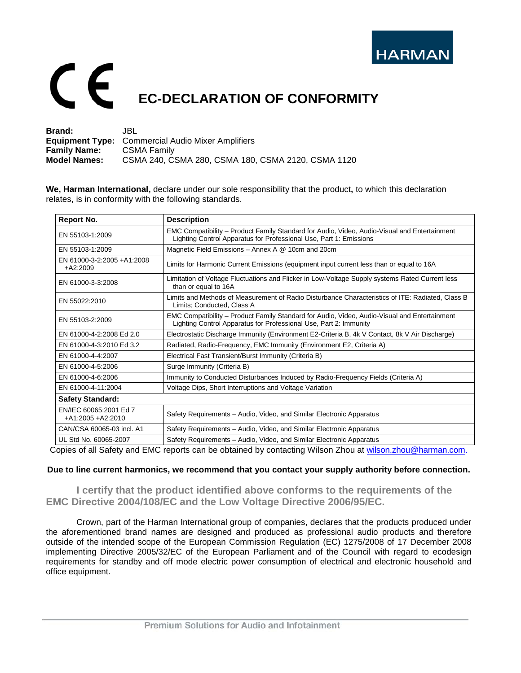

# $\epsilon$ **EC-DECLARATION OF CONFORMITY**

**Brand:** JBL **Equipment Type:** Commercial Audio Mixer Amplifiers **Family Name:** CSMA Family **Model Names:** CSMA 240, CSMA 280, CSMA 180, CSMA 2120, CSMA 1120

**We, Harman International,** declare under our sole responsibility that the product**,** to which this declaration relates, is in conformity with the following standards.

| <b>Description</b>                                                                                                                                                                                                                                                                                                                                                                                                                                                                                                                                                                                                                                               |  |
|------------------------------------------------------------------------------------------------------------------------------------------------------------------------------------------------------------------------------------------------------------------------------------------------------------------------------------------------------------------------------------------------------------------------------------------------------------------------------------------------------------------------------------------------------------------------------------------------------------------------------------------------------------------|--|
| EMC Compatibility - Product Family Standard for Audio, Video, Audio-Visual and Entertainment<br>Lighting Control Apparatus for Professional Use, Part 1: Emissions                                                                                                                                                                                                                                                                                                                                                                                                                                                                                               |  |
| Magnetic Field Emissions - Annex A @ 10cm and 20cm                                                                                                                                                                                                                                                                                                                                                                                                                                                                                                                                                                                                               |  |
| Limits for Harmonic Current Emissions (equipment input current less than or equal to 16A                                                                                                                                                                                                                                                                                                                                                                                                                                                                                                                                                                         |  |
| Limitation of Voltage Fluctuations and Flicker in Low-Voltage Supply systems Rated Current less<br>than or equal to 16A                                                                                                                                                                                                                                                                                                                                                                                                                                                                                                                                          |  |
| Limits and Methods of Measurement of Radio Disturbance Characteristics of ITE: Radiated, Class B<br>Limits: Conducted, Class A                                                                                                                                                                                                                                                                                                                                                                                                                                                                                                                                   |  |
| EMC Compatibility - Product Family Standard for Audio, Video, Audio-Visual and Entertainment<br>Lighting Control Apparatus for Professional Use, Part 2: Immunity                                                                                                                                                                                                                                                                                                                                                                                                                                                                                                |  |
| Electrostatic Discharge Immunity (Environment E2-Criteria B, 4k V Contact, 8k V Air Discharge)                                                                                                                                                                                                                                                                                                                                                                                                                                                                                                                                                                   |  |
| Radiated, Radio-Frequency, EMC Immunity (Environment E2, Criteria A)                                                                                                                                                                                                                                                                                                                                                                                                                                                                                                                                                                                             |  |
| Electrical Fast Transient/Burst Immunity (Criteria B)                                                                                                                                                                                                                                                                                                                                                                                                                                                                                                                                                                                                            |  |
| Surge Immunity (Criteria B)                                                                                                                                                                                                                                                                                                                                                                                                                                                                                                                                                                                                                                      |  |
| Immunity to Conducted Disturbances Induced by Radio-Frequency Fields (Criteria A)                                                                                                                                                                                                                                                                                                                                                                                                                                                                                                                                                                                |  |
| Voltage Dips, Short Interruptions and Voltage Variation                                                                                                                                                                                                                                                                                                                                                                                                                                                                                                                                                                                                          |  |
| <b>Safety Standard:</b>                                                                                                                                                                                                                                                                                                                                                                                                                                                                                                                                                                                                                                          |  |
| Safety Requirements - Audio, Video, and Similar Electronic Apparatus                                                                                                                                                                                                                                                                                                                                                                                                                                                                                                                                                                                             |  |
| Safety Requirements - Audio, Video, and Similar Electronic Apparatus                                                                                                                                                                                                                                                                                                                                                                                                                                                                                                                                                                                             |  |
| Safety Requirements - Audio, Video, and Similar Electronic Apparatus                                                                                                                                                                                                                                                                                                                                                                                                                                                                                                                                                                                             |  |
| $\epsilon$ , $\epsilon$ , $\epsilon$ , $\epsilon$ , $\epsilon$ , $\epsilon$ , $\epsilon$ , $\epsilon$ , $\epsilon$ , $\epsilon$ , $\epsilon$ , $\epsilon$ , $\epsilon$ , $\epsilon$ , $\epsilon$ , $\epsilon$ , $\epsilon$ , $\epsilon$ , $\epsilon$ , $\epsilon$ , $\epsilon$ , $\epsilon$ , $\epsilon$ , $\epsilon$ , $\epsilon$ , $\epsilon$ , $\epsilon$ , $\epsilon$ , $\epsilon$ , $\epsilon$ , $\epsilon$ , $\epsilon$<br>$\sim$ , and the state of the state of the state of the state of the state of the state of the state of the state of the state of the state of the state of the state of the state of the state of the state of the state of th |  |

Copies of all Safety and EMC reports can be obtained by contacting Wilson Zhou at [wilson.zhou@harman.com.](mailto:wilson.zhou@harman.com)

### **Due to line current harmonics, we recommend that you contact your supply authority before connection.**

**I certify that the product identified above conforms to the requirements of the EMC Directive 2004/108/EC and the Low Voltage Directive 2006/95/EC.**

Crown, part of the Harman International group of companies, declares that the products produced under the aforementioned brand names are designed and produced as professional audio products and therefore outside of the intended scope of the European Commission Regulation (EC) 1275/2008 of 17 December 2008 implementing Directive 2005/32/EC of the European Parliament and of the Council with regard to ecodesign requirements for standby and off mode electric power consumption of electrical and electronic household and office equipment.